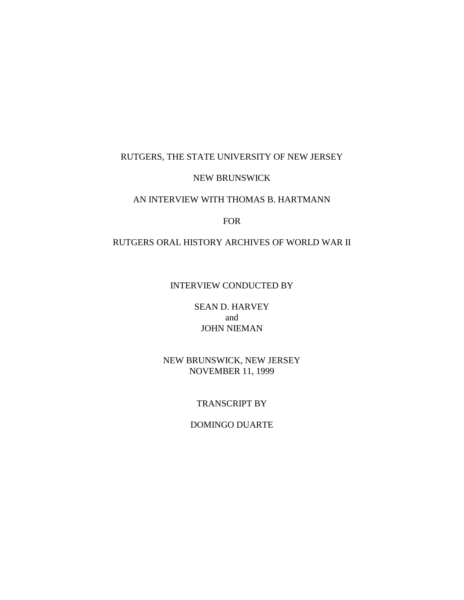#### RUTGERS, THE STATE UNIVERSITY OF NEW JERSEY

#### NEW BRUNSWICK

### AN INTERVIEW WITH THOMAS B. HARTMANN

#### FOR

# RUTGERS ORAL HISTORY ARCHIVES OF WORLD WAR II

### INTERVIEW CONDUCTED BY

# SEAN D. HARVEY and JOHN NIEMAN

### NEW BRUNSWICK, NEW JERSEY NOVEMBER 11, 1999

### TRANSCRIPT BY

# DOMINGO DUARTE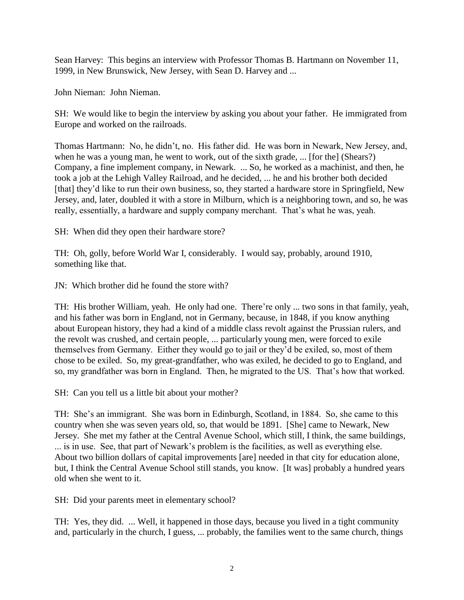Sean Harvey: This begins an interview with Professor Thomas B. Hartmann on November 11, 1999, in New Brunswick, New Jersey, with Sean D. Harvey and ...

John Nieman: John Nieman.

SH: We would like to begin the interview by asking you about your father. He immigrated from Europe and worked on the railroads.

Thomas Hartmann: No, he didn"t, no. His father did. He was born in Newark, New Jersey, and, when he was a young man, he went to work, out of the sixth grade, ... [for the] (Shears?) Company, a fine implement company, in Newark. ... So, he worked as a machinist, and then, he took a job at the Lehigh Valley Railroad, and he decided, ... he and his brother both decided [that] they'd like to run their own business, so, they started a hardware store in Springfield, New Jersey, and, later, doubled it with a store in Milburn, which is a neighboring town, and so, he was really, essentially, a hardware and supply company merchant. That"s what he was, yeah.

SH: When did they open their hardware store?

TH: Oh, golly, before World War I, considerably. I would say, probably, around 1910, something like that.

JN: Which brother did he found the store with?

TH: His brother William, yeah. He only had one. There"re only ... two sons in that family, yeah, and his father was born in England, not in Germany, because, in 1848, if you know anything about European history, they had a kind of a middle class revolt against the Prussian rulers, and the revolt was crushed, and certain people, ... particularly young men, were forced to exile themselves from Germany. Either they would go to jail or they"d be exiled, so, most of them chose to be exiled. So, my great-grandfather, who was exiled, he decided to go to England, and so, my grandfather was born in England. Then, he migrated to the US. That"s how that worked.

SH: Can you tell us a little bit about your mother?

TH: She"s an immigrant. She was born in Edinburgh, Scotland, in 1884. So, she came to this country when she was seven years old, so, that would be 1891. [She] came to Newark, New Jersey. She met my father at the Central Avenue School, which still, I think, the same buildings, ... is in use. See, that part of Newark"s problem is the facilities, as well as everything else. About two billion dollars of capital improvements [are] needed in that city for education alone, but, I think the Central Avenue School still stands, you know. [It was] probably a hundred years old when she went to it.

SH: Did your parents meet in elementary school?

TH: Yes, they did. ... Well, it happened in those days, because you lived in a tight community and, particularly in the church, I guess, ... probably, the families went to the same church, things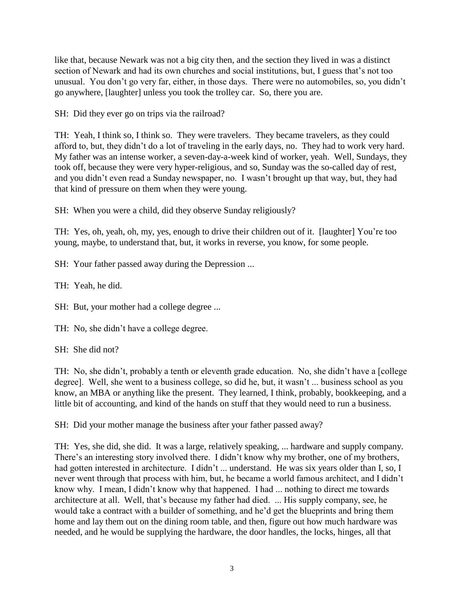like that, because Newark was not a big city then, and the section they lived in was a distinct section of Newark and had its own churches and social institutions, but, I guess that's not too unusual. You don"t go very far, either, in those days. There were no automobiles, so, you didn"t go anywhere, [laughter] unless you took the trolley car. So, there you are.

SH: Did they ever go on trips via the railroad?

TH: Yeah, I think so, I think so. They were travelers. They became travelers, as they could afford to, but, they didn"t do a lot of traveling in the early days, no. They had to work very hard. My father was an intense worker, a seven-day-a-week kind of worker, yeah. Well, Sundays, they took off, because they were very hyper-religious, and so, Sunday was the so-called day of rest, and you didn"t even read a Sunday newspaper, no. I wasn"t brought up that way, but, they had that kind of pressure on them when they were young.

SH: When you were a child, did they observe Sunday religiously?

TH: Yes, oh, yeah, oh, my, yes, enough to drive their children out of it. [laughter] You"re too young, maybe, to understand that, but, it works in reverse, you know, for some people.

SH: Your father passed away during the Depression ...

TH: Yeah, he did.

SH: But, your mother had a college degree ...

TH: No, she didn"t have a college degree.

SH: She did not?

TH: No, she didn"t, probably a tenth or eleventh grade education. No, she didn"t have a [college degree]. Well, she went to a business college, so did he, but, it wasn"t ... business school as you know, an MBA or anything like the present. They learned, I think, probably, bookkeeping, and a little bit of accounting, and kind of the hands on stuff that they would need to run a business.

SH: Did your mother manage the business after your father passed away?

TH: Yes, she did, she did. It was a large, relatively speaking, ... hardware and supply company. There's an interesting story involved there. I didn't know why my brother, one of my brothers, had gotten interested in architecture. I didn't ... understand. He was six years older than I, so, I never went through that process with him, but, he became a world famous architect, and I didn"t know why. I mean, I didn"t know why that happened. I had ... nothing to direct me towards architecture at all. Well, that's because my father had died. ... His supply company, see, he would take a contract with a builder of something, and he"d get the blueprints and bring them home and lay them out on the dining room table, and then, figure out how much hardware was needed, and he would be supplying the hardware, the door handles, the locks, hinges, all that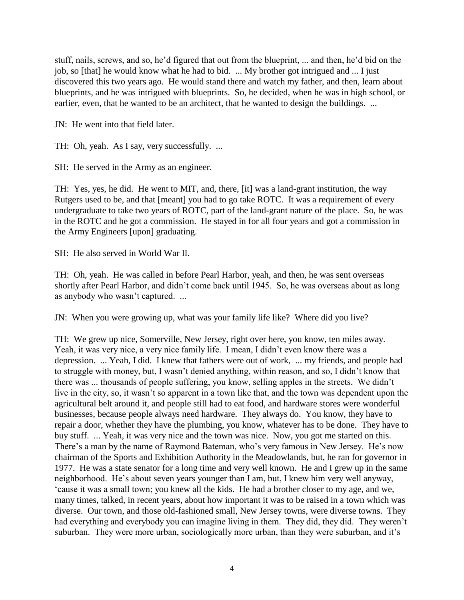stuff, nails, screws, and so, he"d figured that out from the blueprint, ... and then, he"d bid on the job, so [that] he would know what he had to bid. ... My brother got intrigued and ... I just discovered this two years ago. He would stand there and watch my father, and then, learn about blueprints, and he was intrigued with blueprints. So, he decided, when he was in high school, or earlier, even, that he wanted to be an architect, that he wanted to design the buildings. ...

JN: He went into that field later.

TH: Oh, yeah. As I say, very successfully. ...

SH: He served in the Army as an engineer.

TH: Yes, yes, he did. He went to MIT, and, there, [it] was a land-grant institution, the way Rutgers used to be, and that [meant] you had to go take ROTC. It was a requirement of every undergraduate to take two years of ROTC, part of the land-grant nature of the place. So, he was in the ROTC and he got a commission. He stayed in for all four years and got a commission in the Army Engineers [upon] graduating.

SH: He also served in World War II.

TH: Oh, yeah. He was called in before Pearl Harbor, yeah, and then, he was sent overseas shortly after Pearl Harbor, and didn"t come back until 1945. So, he was overseas about as long as anybody who wasn"t captured. ...

JN: When you were growing up, what was your family life like? Where did you live?

TH: We grew up nice, Somerville, New Jersey, right over here, you know, ten miles away. Yeah, it was very nice, a very nice family life. I mean, I didn't even know there was a depression. ... Yeah, I did. I knew that fathers were out of work, ... my friends, and people had to struggle with money, but, I wasn't denied anything, within reason, and so, I didn't know that there was ... thousands of people suffering, you know, selling apples in the streets. We didn"t live in the city, so, it wasn't so apparent in a town like that, and the town was dependent upon the agricultural belt around it, and people still had to eat food, and hardware stores were wonderful businesses, because people always need hardware. They always do. You know, they have to repair a door, whether they have the plumbing, you know, whatever has to be done. They have to buy stuff. ... Yeah, it was very nice and the town was nice. Now, you got me started on this. There's a man by the name of Raymond Bateman, who's very famous in New Jersey. He's now chairman of the Sports and Exhibition Authority in the Meadowlands, but, he ran for governor in 1977. He was a state senator for a long time and very well known. He and I grew up in the same neighborhood. He's about seven years younger than I am, but, I knew him very well anyway, "cause it was a small town; you knew all the kids. He had a brother closer to my age, and we, many times, talked, in recent years, about how important it was to be raised in a town which was diverse. Our town, and those old-fashioned small, New Jersey towns, were diverse towns. They had everything and everybody you can imagine living in them. They did, they did. They weren"t suburban. They were more urban, sociologically more urban, than they were suburban, and it's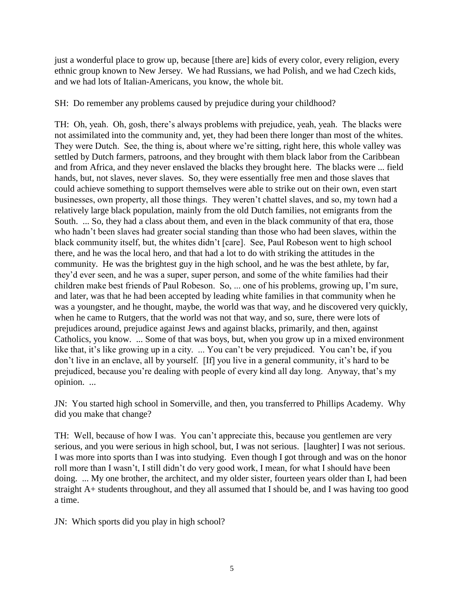just a wonderful place to grow up, because [there are] kids of every color, every religion, every ethnic group known to New Jersey. We had Russians, we had Polish, and we had Czech kids, and we had lots of Italian-Americans, you know, the whole bit.

SH: Do remember any problems caused by prejudice during your childhood?

TH: Oh, yeah. Oh, gosh, there"s always problems with prejudice, yeah, yeah. The blacks were not assimilated into the community and, yet, they had been there longer than most of the whites. They were Dutch. See, the thing is, about where we"re sitting, right here, this whole valley was settled by Dutch farmers, patroons, and they brought with them black labor from the Caribbean and from Africa, and they never enslaved the blacks they brought here. The blacks were ... field hands, but, not slaves, never slaves. So, they were essentially free men and those slaves that could achieve something to support themselves were able to strike out on their own, even start businesses, own property, all those things. They weren"t chattel slaves, and so, my town had a relatively large black population, mainly from the old Dutch families, not emigrants from the South. ... So, they had a class about them, and even in the black community of that era, those who hadn"t been slaves had greater social standing than those who had been slaves, within the black community itself, but, the whites didn"t [care]. See, Paul Robeson went to high school there, and he was the local hero, and that had a lot to do with striking the attitudes in the community. He was the brightest guy in the high school, and he was the best athlete, by far, they"d ever seen, and he was a super, super person, and some of the white families had their children make best friends of Paul Robeson. So, ... one of his problems, growing up, I"m sure, and later, was that he had been accepted by leading white families in that community when he was a youngster, and he thought, maybe, the world was that way, and he discovered very quickly, when he came to Rutgers, that the world was not that way, and so, sure, there were lots of prejudices around, prejudice against Jews and against blacks, primarily, and then, against Catholics, you know. ... Some of that was boys, but, when you grow up in a mixed environment like that, it's like growing up in a city. ... You can't be very prejudiced. You can't be, if you don't live in an enclave, all by yourself. [If] you live in a general community, it's hard to be prejudiced, because you"re dealing with people of every kind all day long. Anyway, that"s my opinion. ...

JN: You started high school in Somerville, and then, you transferred to Phillips Academy. Why did you make that change?

TH: Well, because of how I was. You can"t appreciate this, because you gentlemen are very serious, and you were serious in high school, but, I was not serious. [laughter] I was not serious. I was more into sports than I was into studying. Even though I got through and was on the honor roll more than I wasn"t, I still didn"t do very good work, I mean, for what I should have been doing. ... My one brother, the architect, and my older sister, fourteen years older than I, had been straight A+ students throughout, and they all assumed that I should be, and I was having too good a time.

JN: Which sports did you play in high school?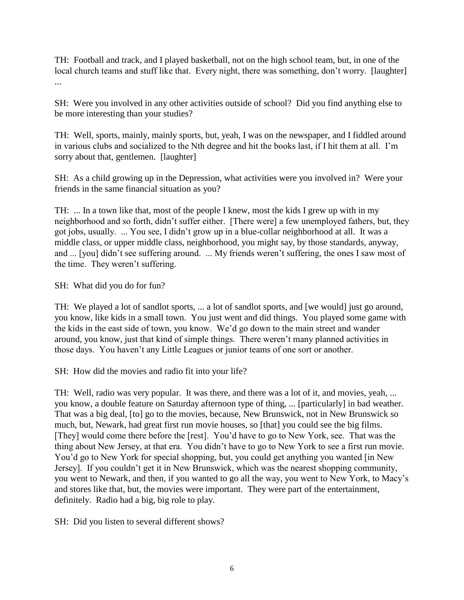TH: Football and track, and I played basketball, not on the high school team, but, in one of the local church teams and stuff like that. Every night, there was something, don't worry. [laughter] ...

SH: Were you involved in any other activities outside of school? Did you find anything else to be more interesting than your studies?

TH: Well, sports, mainly, mainly sports, but, yeah, I was on the newspaper, and I fiddled around in various clubs and socialized to the Nth degree and hit the books last, if I hit them at all. I"m sorry about that, gentlemen. [laughter]

SH: As a child growing up in the Depression, what activities were you involved in? Were your friends in the same financial situation as you?

TH: ... In a town like that, most of the people I knew, most the kids I grew up with in my neighborhood and so forth, didn"t suffer either. [There were] a few unemployed fathers, but, they got jobs, usually. ... You see, I didn"t grow up in a blue-collar neighborhood at all. It was a middle class, or upper middle class, neighborhood, you might say, by those standards, anyway, and ... [you] didn"t see suffering around. ... My friends weren"t suffering, the ones I saw most of the time. They weren't suffering.

SH: What did you do for fun?

TH: We played a lot of sandlot sports, ... a lot of sandlot sports, and [we would] just go around, you know, like kids in a small town. You just went and did things. You played some game with the kids in the east side of town, you know. We"d go down to the main street and wander around, you know, just that kind of simple things. There weren"t many planned activities in those days. You haven't any Little Leagues or junior teams of one sort or another.

SH: How did the movies and radio fit into your life?

TH: Well, radio was very popular. It was there, and there was a lot of it, and movies, yeah, ... you know, a double feature on Saturday afternoon type of thing, ... [particularly] in bad weather. That was a big deal, [to] go to the movies, because, New Brunswick, not in New Brunswick so much, but, Newark, had great first run movie houses, so [that] you could see the big films. [They] would come there before the [rest]. You"d have to go to New York, see. That was the thing about New Jersey, at that era. You didn"t have to go to New York to see a first run movie. You"d go to New York for special shopping, but, you could get anything you wanted [in New Jersey]. If you couldn"t get it in New Brunswick, which was the nearest shopping community, you went to Newark, and then, if you wanted to go all the way, you went to New York, to Macy"s and stores like that, but, the movies were important. They were part of the entertainment, definitely. Radio had a big, big role to play.

SH: Did you listen to several different shows?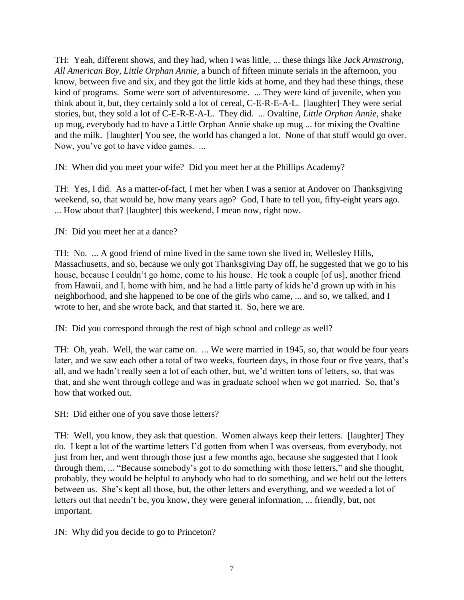TH: Yeah, different shows, and they had, when I was little, ... these things like *Jack Armstrong, All American Boy, Little Orphan Annie*, a bunch of fifteen minute serials in the afternoon, you know, between five and six, and they got the little kids at home, and they had these things, these kind of programs. Some were sort of adventuresome. ... They were kind of juvenile, when you think about it, but, they certainly sold a lot of cereal, C-E-R-E-A-L. [laughter] They were serial stories, but, they sold a lot of C-E-R-E-A-L. They did. ... Ovaltine, *Little Orphan Annie*, shake up mug, everybody had to have a Little Orphan Annie shake up mug ... for mixing the Ovaltine and the milk. [laughter] You see, the world has changed a lot. None of that stuff would go over. Now, you've got to have video games. ...

JN: When did you meet your wife? Did you meet her at the Phillips Academy?

TH: Yes, I did. As a matter-of-fact, I met her when I was a senior at Andover on Thanksgiving weekend, so, that would be, how many years ago? God, I hate to tell you, fifty-eight years ago. ... How about that? [laughter] this weekend, I mean now, right now.

JN: Did you meet her at a dance?

TH: No. ... A good friend of mine lived in the same town she lived in, Wellesley Hills, Massachusetts, and so, because we only got Thanksgiving Day off, he suggested that we go to his house, because I couldn't go home, come to his house. He took a couple [of us], another friend from Hawaii, and I, home with him, and he had a little party of kids he"d grown up with in his neighborhood, and she happened to be one of the girls who came, ... and so, we talked, and I wrote to her, and she wrote back, and that started it. So, here we are.

JN: Did you correspond through the rest of high school and college as well?

TH: Oh, yeah. Well, the war came on. ... We were married in 1945, so, that would be four years later, and we saw each other a total of two weeks, fourteen days, in those four or five years, that's all, and we hadn"t really seen a lot of each other, but, we"d written tons of letters, so, that was that, and she went through college and was in graduate school when we got married. So, that"s how that worked out.

SH: Did either one of you save those letters?

TH: Well, you know, they ask that question. Women always keep their letters. [laughter] They do. I kept a lot of the wartime letters I"d gotten from when I was overseas, from everybody, not just from her, and went through those just a few months ago, because she suggested that I look through them, ... "Because somebody"s got to do something with those letters," and she thought, probably, they would be helpful to anybody who had to do something, and we held out the letters between us. She"s kept all those, but, the other letters and everything, and we weeded a lot of letters out that needn't be, you know, they were general information, ... friendly, but, not important.

JN: Why did you decide to go to Princeton?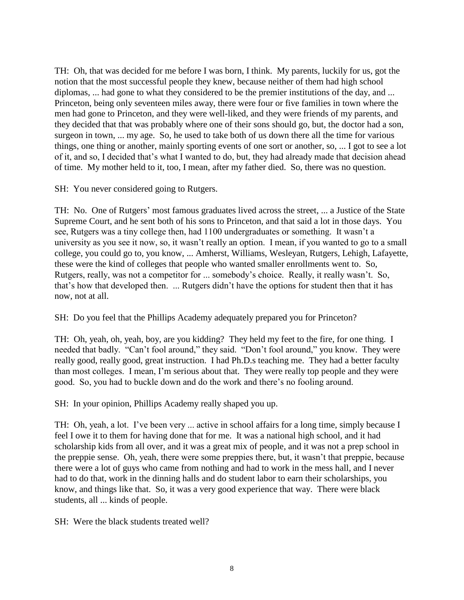TH: Oh, that was decided for me before I was born, I think. My parents, luckily for us, got the notion that the most successful people they knew, because neither of them had high school diplomas, ... had gone to what they considered to be the premier institutions of the day, and ... Princeton, being only seventeen miles away, there were four or five families in town where the men had gone to Princeton, and they were well-liked, and they were friends of my parents, and they decided that that was probably where one of their sons should go, but, the doctor had a son, surgeon in town, ... my age. So, he used to take both of us down there all the time for various things, one thing or another, mainly sporting events of one sort or another, so, ... I got to see a lot of it, and so, I decided that"s what I wanted to do, but, they had already made that decision ahead of time. My mother held to it, too, I mean, after my father died. So, there was no question.

SH: You never considered going to Rutgers.

TH: No. One of Rutgers' most famous graduates lived across the street, ... a Justice of the State Supreme Court, and he sent both of his sons to Princeton, and that said a lot in those days. You see, Rutgers was a tiny college then, had 1100 undergraduates or something. It wasn"t a university as you see it now, so, it wasn"t really an option. I mean, if you wanted to go to a small college, you could go to, you know, ... Amherst, Williams, Wesleyan, Rutgers, Lehigh, Lafayette, these were the kind of colleges that people who wanted smaller enrollments went to. So, Rutgers, really, was not a competitor for ... somebody"s choice. Really, it really wasn"t. So, that"s how that developed then. ... Rutgers didn"t have the options for student then that it has now, not at all.

SH: Do you feel that the Phillips Academy adequately prepared you for Princeton?

TH: Oh, yeah, oh, yeah, boy, are you kidding? They held my feet to the fire, for one thing. I needed that badly. "Can"t fool around," they said. "Don"t fool around," you know. They were really good, really good, great instruction. I had Ph.D.s teaching me. They had a better faculty than most colleges. I mean, I"m serious about that. They were really top people and they were good. So, you had to buckle down and do the work and there"s no fooling around.

SH: In your opinion, Phillips Academy really shaped you up.

TH: Oh, yeah, a lot. I've been very ... active in school affairs for a long time, simply because I feel I owe it to them for having done that for me. It was a national high school, and it had scholarship kids from all over, and it was a great mix of people, and it was not a prep school in the preppie sense. Oh, yeah, there were some preppies there, but, it wasn"t that preppie, because there were a lot of guys who came from nothing and had to work in the mess hall, and I never had to do that, work in the dinning halls and do student labor to earn their scholarships, you know, and things like that. So, it was a very good experience that way. There were black students, all ... kinds of people.

SH: Were the black students treated well?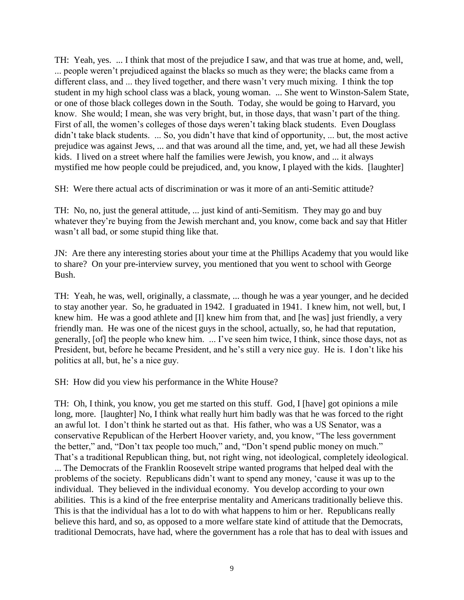TH: Yeah, yes. ... I think that most of the prejudice I saw, and that was true at home, and, well, ... people weren"t prejudiced against the blacks so much as they were; the blacks came from a different class, and ... they lived together, and there wasn"t very much mixing. I think the top student in my high school class was a black, young woman. ... She went to Winston-Salem State, or one of those black colleges down in the South. Today, she would be going to Harvard, you know. She would; I mean, she was very bright, but, in those days, that wasn"t part of the thing. First of all, the women's colleges of those days weren't taking black students. Even Douglass didn"t take black students. ... So, you didn"t have that kind of opportunity, ... but, the most active prejudice was against Jews, ... and that was around all the time, and, yet, we had all these Jewish kids. I lived on a street where half the families were Jewish, you know, and ... it always mystified me how people could be prejudiced, and, you know, I played with the kids. [laughter]

SH: Were there actual acts of discrimination or was it more of an anti-Semitic attitude?

TH: No, no, just the general attitude, ... just kind of anti-Semitism. They may go and buy whatever they're buying from the Jewish merchant and, you know, come back and say that Hitler wasn't all bad, or some stupid thing like that.

JN: Are there any interesting stories about your time at the Phillips Academy that you would like to share? On your pre-interview survey, you mentioned that you went to school with George Bush.

TH: Yeah, he was, well, originally, a classmate, ... though he was a year younger, and he decided to stay another year. So, he graduated in 1942. I graduated in 1941. I knew him, not well, but, I knew him. He was a good athlete and [I] knew him from that, and [he was] just friendly, a very friendly man. He was one of the nicest guys in the school, actually, so, he had that reputation, generally, [of] the people who knew him. ... I"ve seen him twice, I think, since those days, not as President, but, before he became President, and he's still a very nice guy. He is. I don't like his politics at all, but, he"s a nice guy.

SH: How did you view his performance in the White House?

TH: Oh, I think, you know, you get me started on this stuff. God, I [have] got opinions a mile long, more. [laughter] No, I think what really hurt him badly was that he was forced to the right an awful lot. I don"t think he started out as that. His father, who was a US Senator, was a conservative Republican of the Herbert Hoover variety, and, you know, "The less government the better," and, "Don"t tax people too much," and, "Don"t spend public money on much." That's a traditional Republican thing, but, not right wing, not ideological, completely ideological. ... The Democrats of the Franklin Roosevelt stripe wanted programs that helped deal with the problems of the society. Republicans didn"t want to spend any money, "cause it was up to the individual. They believed in the individual economy. You develop according to your own abilities. This is a kind of the free enterprise mentality and Americans traditionally believe this. This is that the individual has a lot to do with what happens to him or her. Republicans really believe this hard, and so, as opposed to a more welfare state kind of attitude that the Democrats, traditional Democrats, have had, where the government has a role that has to deal with issues and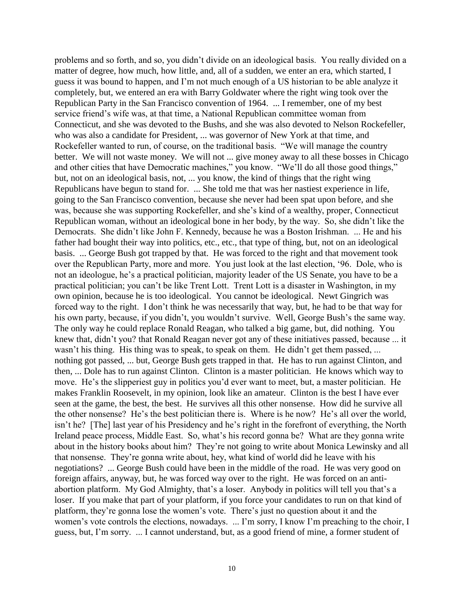problems and so forth, and so, you didn"t divide on an ideological basis. You really divided on a matter of degree, how much, how little, and, all of a sudden, we enter an era, which started, I guess it was bound to happen, and I"m not much enough of a US historian to be able analyze it completely, but, we entered an era with Barry Goldwater where the right wing took over the Republican Party in the San Francisco convention of 1964. ... I remember, one of my best service friend"s wife was, at that time, a National Republican committee woman from Connecticut, and she was devoted to the Bushs, and she was also devoted to Nelson Rockefeller, who was also a candidate for President, ... was governor of New York at that time, and Rockefeller wanted to run, of course, on the traditional basis. "We will manage the country better. We will not waste money. We will not ... give money away to all these bosses in Chicago and other cities that have Democratic machines," you know. "We"ll do all those good things," but, not on an ideological basis, not, ... you know, the kind of things that the right wing Republicans have begun to stand for. ... She told me that was her nastiest experience in life, going to the San Francisco convention, because she never had been spat upon before, and she was, because she was supporting Rockefeller, and she"s kind of a wealthy, proper, Connecticut Republican woman, without an ideological bone in her body, by the way. So, she didn"t like the Democrats. She didn"t like John F. Kennedy, because he was a Boston Irishman. ... He and his father had bought their way into politics, etc., etc., that type of thing, but, not on an ideological basis. ... George Bush got trapped by that. He was forced to the right and that movement took over the Republican Party, more and more. You just look at the last election, "96. Dole, who is not an ideologue, he"s a practical politician, majority leader of the US Senate, you have to be a practical politician; you can"t be like Trent Lott. Trent Lott is a disaster in Washington, in my own opinion, because he is too ideological. You cannot be ideological. Newt Gingrich was forced way to the right. I don"t think he was necessarily that way, but, he had to be that way for his own party, because, if you didn't, you wouldn't survive. Well, George Bush's the same way. The only way he could replace Ronald Reagan, who talked a big game, but, did nothing. You knew that, didn"t you? that Ronald Reagan never got any of these initiatives passed, because ... it wasn't his thing. His thing was to speak, to speak on them. He didn't get them passed, ... nothing got passed, ... but, George Bush gets trapped in that. He has to run against Clinton, and then, ... Dole has to run against Clinton. Clinton is a master politician. He knows which way to move. He's the slipperiest guy in politics you'd ever want to meet, but, a master politician. He makes Franklin Roosevelt, in my opinion, look like an amateur. Clinton is the best I have ever seen at the game, the best, the best. He survives all this other nonsense. How did he survive all the other nonsense? He's the best politician there is. Where is he now? He's all over the world, isn't he? [The] last year of his Presidency and he's right in the forefront of everything, the North Ireland peace process, Middle East. So, what's his record gonna be? What are they gonna write about in the history books about him? They"re not going to write about Monica Lewinsky and all that nonsense. They"re gonna write about, hey, what kind of world did he leave with his negotiations? ... George Bush could have been in the middle of the road. He was very good on foreign affairs, anyway, but, he was forced way over to the right. He was forced on an antiabortion platform. My God Almighty, that's a loser. Anybody in politics will tell you that's a loser. If you make that part of your platform, if you force your candidates to run on that kind of platform, they"re gonna lose the women"s vote. There"s just no question about it and the women's vote controls the elections, nowadays. ... I'm sorry, I know I'm preaching to the choir, I guess, but, I"m sorry. ... I cannot understand, but, as a good friend of mine, a former student of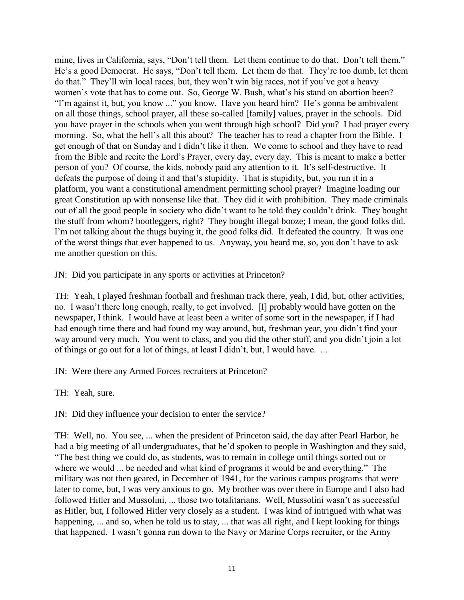mine, lives in California, says, "Don"t tell them. Let them continue to do that. Don"t tell them." He"s a good Democrat. He says, "Don"t tell them. Let them do that. They"re too dumb, let them do that." They"ll win local races, but, they won"t win big races, not if you"ve got a heavy women's vote that has to come out. So, George W. Bush, what's his stand on abortion been? "I'm against it, but, you know ..." you know. Have you heard him? He's gonna be ambivalent on all those things, school prayer, all these so-called [family] values, prayer in the schools. Did you have prayer in the schools when you went through high school? Did you? I had prayer every morning. So, what the hell"s all this about? The teacher has to read a chapter from the Bible. I get enough of that on Sunday and I didn"t like it then. We come to school and they have to read from the Bible and recite the Lord"s Prayer, every day, every day. This is meant to make a better person of you? Of course, the kids, nobody paid any attention to it. It"s self-destructive. It defeats the purpose of doing it and that's stupidity. That is stupidity, but, you run it in a platform, you want a constitutional amendment permitting school prayer? Imagine loading our great Constitution up with nonsense like that. They did it with prohibition. They made criminals out of all the good people in society who didn"t want to be told they couldn"t drink. They bought the stuff from whom? bootleggers, right? They bought illegal booze; I mean, the good folks did. I'm not talking about the thugs buying it, the good folks did. It defeated the country. It was one of the worst things that ever happened to us. Anyway, you heard me, so, you don"t have to ask me another question on this.

JN: Did you participate in any sports or activities at Princeton?

TH: Yeah, I played freshman football and freshman track there, yeah, I did, but, other activities, no. I wasn"t there long enough, really, to get involved. [I] probably would have gotten on the newspaper, I think. I would have at least been a writer of some sort in the newspaper, if I had had enough time there and had found my way around, but, freshman year, you didn"t find your way around very much. You went to class, and you did the other stuff, and you didn"t join a lot of things or go out for a lot of things, at least I didn"t, but, I would have. ...

JN: Were there any Armed Forces recruiters at Princeton?

TH: Yeah, sure.

JN: Did they influence your decision to enter the service?

TH: Well, no. You see, ... when the president of Princeton said, the day after Pearl Harbor, he had a big meeting of all undergraduates, that he'd spoken to people in Washington and they said, "The best thing we could do, as students, was to remain in college until things sorted out or where we would ... be needed and what kind of programs it would be and everything." The military was not then geared, in December of 1941, for the various campus programs that were later to come, but, I was very anxious to go. My brother was over there in Europe and I also had followed Hitler and Mussolini, ... those two totalitarians. Well, Mussolini wasn't as successful as Hitler, but, I followed Hitler very closely as a student. I was kind of intrigued with what was happening, ... and so, when he told us to stay, ... that was all right, and I kept looking for things that happened. I wasn"t gonna run down to the Navy or Marine Corps recruiter, or the Army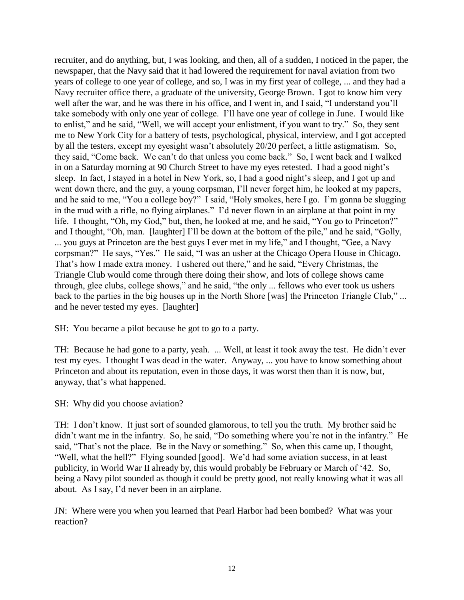recruiter, and do anything, but, I was looking, and then, all of a sudden, I noticed in the paper, the newspaper, that the Navy said that it had lowered the requirement for naval aviation from two years of college to one year of college, and so, I was in my first year of college, ... and they had a Navy recruiter office there, a graduate of the university, George Brown. I got to know him very well after the war, and he was there in his office, and I went in, and I said, "I understand you"ll take somebody with only one year of college. I"ll have one year of college in June. I would like to enlist," and he said, "Well, we will accept your enlistment, if you want to try." So, they sent me to New York City for a battery of tests, psychological, physical, interview, and I got accepted by all the testers, except my eyesight wasn"t absolutely 20/20 perfect, a little astigmatism. So, they said, "Come back. We can"t do that unless you come back." So, I went back and I walked in on a Saturday morning at 90 Church Street to have my eyes retested. I had a good night"s sleep. In fact, I stayed in a hotel in New York, so, I had a good night's sleep, and I got up and went down there, and the guy, a young corpsman, I"ll never forget him, he looked at my papers, and he said to me, "You a college boy?" I said, "Holy smokes, here I go. I"m gonna be slugging in the mud with a rifle, no flying airplanes." I"d never flown in an airplane at that point in my life. I thought, "Oh, my God," but, then, he looked at me, and he said, "You go to Princeton?" and I thought, "Oh, man. [laughter] I"ll be down at the bottom of the pile," and he said, "Golly, ... you guys at Princeton are the best guys I ever met in my life," and I thought, "Gee, a Navy corpsman?" He says, "Yes." He said, "I was an usher at the Chicago Opera House in Chicago. That"s how I made extra money. I ushered out there," and he said, "Every Christmas, the Triangle Club would come through there doing their show, and lots of college shows came through, glee clubs, college shows," and he said, "the only ... fellows who ever took us ushers back to the parties in the big houses up in the North Shore [was] the Princeton Triangle Club," ... and he never tested my eyes. [laughter]

SH: You became a pilot because he got to go to a party.

TH: Because he had gone to a party, yeah. ... Well, at least it took away the test. He didn"t ever test my eyes. I thought I was dead in the water. Anyway, ... you have to know something about Princeton and about its reputation, even in those days, it was worst then than it is now, but, anyway, that's what happened.

SH: Why did you choose aviation?

TH: I don"t know. It just sort of sounded glamorous, to tell you the truth. My brother said he didn't want me in the infantry. So, he said, "Do something where you're not in the infantry." He said, "That's not the place. Be in the Navy or something." So, when this came up, I thought, "Well, what the hell?" Flying sounded [good]. We"d had some aviation success, in at least publicity, in World War II already by, this would probably be February or March of "42. So, being a Navy pilot sounded as though it could be pretty good, not really knowing what it was all about. As I say, I"d never been in an airplane.

JN: Where were you when you learned that Pearl Harbor had been bombed? What was your reaction?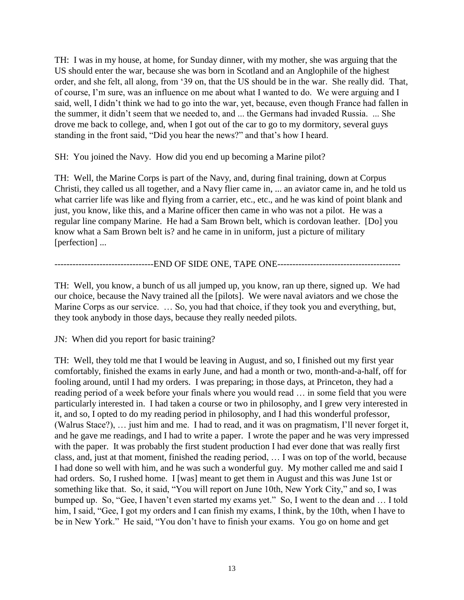TH: I was in my house, at home, for Sunday dinner, with my mother, she was arguing that the US should enter the war, because she was born in Scotland and an Anglophile of the highest order, and she felt, all along, from "39 on, that the US should be in the war. She really did. That, of course, I"m sure, was an influence on me about what I wanted to do. We were arguing and I said, well, I didn"t think we had to go into the war, yet, because, even though France had fallen in the summer, it didn"t seem that we needed to, and ... the Germans had invaded Russia. ... She drove me back to college, and, when I got out of the car to go to my dormitory, several guys standing in the front said, "Did you hear the news?" and that's how I heard.

SH: You joined the Navy. How did you end up becoming a Marine pilot?

TH: Well, the Marine Corps is part of the Navy, and, during final training, down at Corpus Christi, they called us all together, and a Navy flier came in, ... an aviator came in, and he told us what carrier life was like and flying from a carrier, etc., etc., and he was kind of point blank and just, you know, like this, and a Marine officer then came in who was not a pilot. He was a regular line company Marine. He had a Sam Brown belt, which is cordovan leather. [Do] you know what a Sam Brown belt is? and he came in in uniform, just a picture of military [perfection] ...

---------------------------------END OF SIDE ONE, TAPE ONE-----------------------------------------

TH: Well, you know, a bunch of us all jumped up, you know, ran up there, signed up. We had our choice, because the Navy trained all the [pilots]. We were naval aviators and we chose the Marine Corps as our service. … So, you had that choice, if they took you and everything, but, they took anybody in those days, because they really needed pilots.

JN: When did you report for basic training?

TH: Well, they told me that I would be leaving in August, and so, I finished out my first year comfortably, finished the exams in early June, and had a month or two, month-and-a-half, off for fooling around, until I had my orders. I was preparing; in those days, at Princeton, they had a reading period of a week before your finals where you would read … in some field that you were particularly interested in. I had taken a course or two in philosophy, and I grew very interested in it, and so, I opted to do my reading period in philosophy, and I had this wonderful professor, (Walrus Stace?), … just him and me. I had to read, and it was on pragmatism, I"ll never forget it, and he gave me readings, and I had to write a paper. I wrote the paper and he was very impressed with the paper. It was probably the first student production I had ever done that was really first class, and, just at that moment, finished the reading period, … I was on top of the world, because I had done so well with him, and he was such a wonderful guy. My mother called me and said I had orders. So, I rushed home. I [was] meant to get them in August and this was June 1st or something like that. So, it said, "You will report on June 10th, New York City," and so, I was bumped up. So, "Gee, I haven't even started my exams yet." So, I went to the dean and ... I told him, I said, "Gee, I got my orders and I can finish my exams, I think, by the 10th, when I have to be in New York." He said, "You don"t have to finish your exams. You go on home and get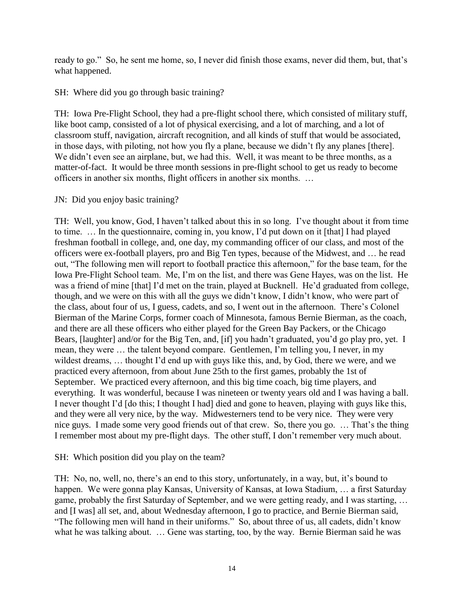ready to go." So, he sent me home, so, I never did finish those exams, never did them, but, that's what happened.

SH: Where did you go through basic training?

TH: Iowa Pre-Flight School, they had a pre-flight school there, which consisted of military stuff, like boot camp, consisted of a lot of physical exercising, and a lot of marching, and a lot of classroom stuff, navigation, aircraft recognition, and all kinds of stuff that would be associated, in those days, with piloting, not how you fly a plane, because we didn"t fly any planes [there]. We didn't even see an airplane, but, we had this. Well, it was meant to be three months, as a matter-of-fact. It would be three month sessions in pre-flight school to get us ready to become officers in another six months, flight officers in another six months. …

JN: Did you enjoy basic training?

TH: Well, you know, God, I haven't talked about this in so long. I've thought about it from time to time. … In the questionnaire, coming in, you know, I"d put down on it [that] I had played freshman football in college, and, one day, my commanding officer of our class, and most of the officers were ex-football players, pro and Big Ten types, because of the Midwest, and … he read out, "The following men will report to football practice this afternoon," for the base team, for the Iowa Pre-Flight School team. Me, I"m on the list, and there was Gene Hayes, was on the list. He was a friend of mine [that] I"d met on the train, played at Bucknell. He"d graduated from college, though, and we were on this with all the guys we didn"t know, I didn"t know, who were part of the class, about four of us, I guess, cadets, and so, I went out in the afternoon. There"s Colonel Bierman of the Marine Corps, former coach of Minnesota, famous Bernie Bierman, as the coach, and there are all these officers who either played for the Green Bay Packers, or the Chicago Bears, [laughter] and/or for the Big Ten, and, [if] you hadn't graduated, you'd go play pro, yet. I mean, they were … the talent beyond compare. Gentlemen, I"m telling you, I never, in my wildest dreams, ... thought I'd end up with guys like this, and, by God, there we were, and we practiced every afternoon, from about June 25th to the first games, probably the 1st of September. We practiced every afternoon, and this big time coach, big time players, and everything. It was wonderful, because I was nineteen or twenty years old and I was having a ball. I never thought I"d [do this; I thought I had] died and gone to heaven, playing with guys like this, and they were all very nice, by the way. Midwesterners tend to be very nice. They were very nice guys. I made some very good friends out of that crew. So, there you go. ... That's the thing I remember most about my pre-flight days. The other stuff, I don"t remember very much about.

SH: Which position did you play on the team?

TH: No, no, well, no, there's an end to this story, unfortunately, in a way, but, it's bound to happen. We were gonna play Kansas, University of Kansas, at Iowa Stadium, ... a first Saturday game, probably the first Saturday of September, and we were getting ready, and I was starting, … and [I was] all set, and, about Wednesday afternoon, I go to practice, and Bernie Bierman said, "The following men will hand in their uniforms." So, about three of us, all cadets, didn"t know what he was talking about. ... Gene was starting, too, by the way. Bernie Bierman said he was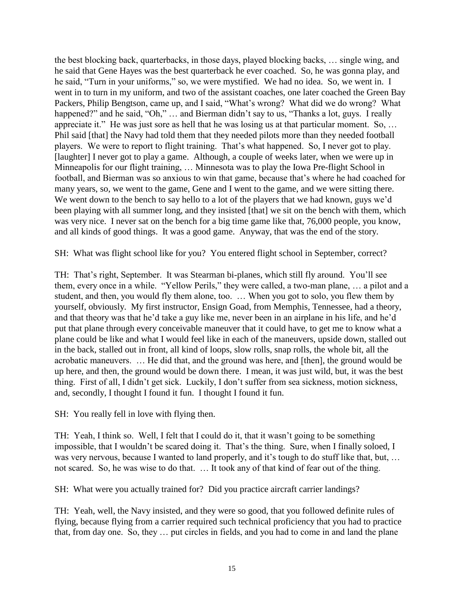the best blocking back, quarterbacks, in those days, played blocking backs, … single wing, and he said that Gene Hayes was the best quarterback he ever coached. So, he was gonna play, and he said, "Turn in your uniforms," so, we were mystified. We had no idea. So, we went in. I went in to turn in my uniform, and two of the assistant coaches, one later coached the Green Bay Packers, Philip Bengtson, came up, and I said, "What"s wrong? What did we do wrong? What happened?" and he said, "Oh," ... and Bierman didn't say to us, "Thanks a lot, guys. I really appreciate it." He was just sore as hell that he was losing us at that particular moment. So, … Phil said [that] the Navy had told them that they needed pilots more than they needed football players. We were to report to flight training. That's what happened. So, I never got to play. [laughter] I never got to play a game. Although, a couple of weeks later, when we were up in Minneapolis for our flight training, … Minnesota was to play the Iowa Pre-flight School in football, and Bierman was so anxious to win that game, because that"s where he had coached for many years, so, we went to the game, Gene and I went to the game, and we were sitting there. We went down to the bench to say hello to a lot of the players that we had known, guys we'd been playing with all summer long, and they insisted [that] we sit on the bench with them, which was very nice. I never sat on the bench for a big time game like that, 76,000 people, you know, and all kinds of good things. It was a good game. Anyway, that was the end of the story.

SH: What was flight school like for you? You entered flight school in September, correct?

TH: That's right, September. It was Stearman bi-planes, which still fly around. You'll see them, every once in a while. "Yellow Perils," they were called, a two-man plane, … a pilot and a student, and then, you would fly them alone, too. … When you got to solo, you flew them by yourself, obviously. My first instructor, Ensign Goad, from Memphis, Tennessee, had a theory, and that theory was that he"d take a guy like me, never been in an airplane in his life, and he"d put that plane through every conceivable maneuver that it could have, to get me to know what a plane could be like and what I would feel like in each of the maneuvers, upside down, stalled out in the back, stalled out in front, all kind of loops, slow rolls, snap rolls, the whole bit, all the acrobatic maneuvers. … He did that, and the ground was here, and [then], the ground would be up here, and then, the ground would be down there. I mean, it was just wild, but, it was the best thing. First of all, I didn"t get sick. Luckily, I don"t suffer from sea sickness, motion sickness, and, secondly, I thought I found it fun. I thought I found it fun.

SH: You really fell in love with flying then.

TH: Yeah, I think so. Well, I felt that I could do it, that it wasn"t going to be something impossible, that I wouldn"t be scared doing it. That"s the thing. Sure, when I finally soloed, I was very nervous, because I wanted to land properly, and it's tough to do stuff like that, but, ... not scared. So, he was wise to do that. … It took any of that kind of fear out of the thing.

SH: What were you actually trained for? Did you practice aircraft carrier landings?

TH: Yeah, well, the Navy insisted, and they were so good, that you followed definite rules of flying, because flying from a carrier required such technical proficiency that you had to practice that, from day one. So, they … put circles in fields, and you had to come in and land the plane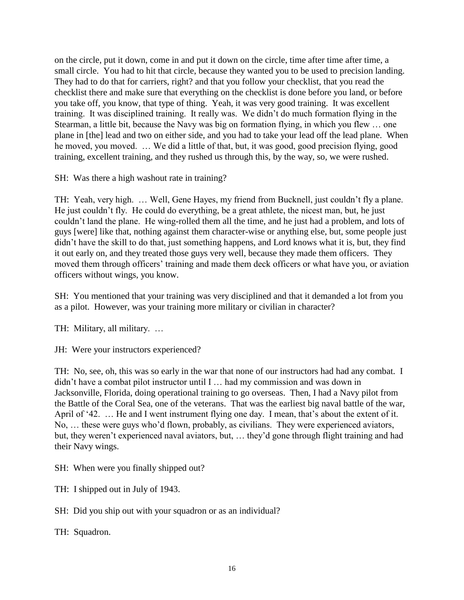on the circle, put it down, come in and put it down on the circle, time after time after time, a small circle. You had to hit that circle, because they wanted you to be used to precision landing. They had to do that for carriers, right? and that you follow your checklist, that you read the checklist there and make sure that everything on the checklist is done before you land, or before you take off, you know, that type of thing. Yeah, it was very good training. It was excellent training. It was disciplined training. It really was. We didn"t do much formation flying in the Stearman, a little bit, because the Navy was big on formation flying, in which you flew … one plane in [the] lead and two on either side, and you had to take your lead off the lead plane. When he moved, you moved. … We did a little of that, but, it was good, good precision flying, good training, excellent training, and they rushed us through this, by the way, so, we were rushed.

SH: Was there a high washout rate in training?

TH: Yeah, very high. … Well, Gene Hayes, my friend from Bucknell, just couldn"t fly a plane. He just couldn"t fly. He could do everything, be a great athlete, the nicest man, but, he just couldn"t land the plane. He wing-rolled them all the time, and he just had a problem, and lots of guys [were] like that, nothing against them character-wise or anything else, but, some people just didn"t have the skill to do that, just something happens, and Lord knows what it is, but, they find it out early on, and they treated those guys very well, because they made them officers. They moved them through officers' training and made them deck officers or what have you, or aviation officers without wings, you know.

SH: You mentioned that your training was very disciplined and that it demanded a lot from you as a pilot. However, was your training more military or civilian in character?

TH: Military, all military. …

JH: Were your instructors experienced?

TH: No, see, oh, this was so early in the war that none of our instructors had had any combat. I didn"t have a combat pilot instructor until I … had my commission and was down in Jacksonville, Florida, doing operational training to go overseas. Then, I had a Navy pilot from the Battle of the Coral Sea, one of the veterans. That was the earliest big naval battle of the war, April of '42. ... He and I went instrument flying one day. I mean, that's about the extent of it. No, … these were guys who"d flown, probably, as civilians. They were experienced aviators, but, they weren't experienced naval aviators, but, ... they'd gone through flight training and had their Navy wings.

SH: When were you finally shipped out?

TH: I shipped out in July of 1943.

SH: Did you ship out with your squadron or as an individual?

TH: Squadron.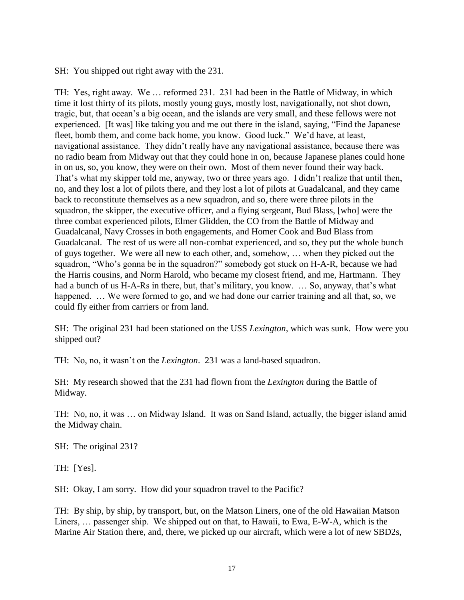SH: You shipped out right away with the 231.

TH: Yes, right away. We … reformed 231. 231 had been in the Battle of Midway, in which time it lost thirty of its pilots, mostly young guys, mostly lost, navigationally, not shot down, tragic, but, that ocean"s a big ocean, and the islands are very small, and these fellows were not experienced. [It was] like taking you and me out there in the island, saying, "Find the Japanese fleet, bomb them, and come back home, you know. Good luck." We'd have, at least, navigational assistance. They didn"t really have any navigational assistance, because there was no radio beam from Midway out that they could hone in on, because Japanese planes could hone in on us, so, you know, they were on their own. Most of them never found their way back. That's what my skipper told me, anyway, two or three years ago. I didn't realize that until then, no, and they lost a lot of pilots there, and they lost a lot of pilots at Guadalcanal, and they came back to reconstitute themselves as a new squadron, and so, there were three pilots in the squadron, the skipper, the executive officer, and a flying sergeant, Bud Blass, [who] were the three combat experienced pilots, Elmer Glidden, the CO from the Battle of Midway and Guadalcanal, Navy Crosses in both engagements, and Homer Cook and Bud Blass from Guadalcanal. The rest of us were all non-combat experienced, and so, they put the whole bunch of guys together. We were all new to each other, and, somehow, … when they picked out the squadron, "Who"s gonna be in the squadron?" somebody got stuck on H-A-R, because we had the Harris cousins, and Norm Harold, who became my closest friend, and me, Hartmann. They had a bunch of us H-A-Rs in there, but, that's military, you know. ... So, anyway, that's what happened. ... We were formed to go, and we had done our carrier training and all that, so, we could fly either from carriers or from land.

SH: The original 231 had been stationed on the USS *Lexington*, which was sunk. How were you shipped out?

TH: No, no, it wasn"t on the *Lexington*. 231 was a land-based squadron.

SH: My research showed that the 231 had flown from the *Lexington* during the Battle of Midway.

TH: No, no, it was … on Midway Island. It was on Sand Island, actually, the bigger island amid the Midway chain.

SH: The original 231?

TH: [Yes].

SH: Okay, I am sorry. How did your squadron travel to the Pacific?

TH: By ship, by ship, by transport, but, on the Matson Liners, one of the old Hawaiian Matson Liners, … passenger ship. We shipped out on that, to Hawaii, to Ewa, E-W-A, which is the Marine Air Station there, and, there, we picked up our aircraft, which were a lot of new SBD2s,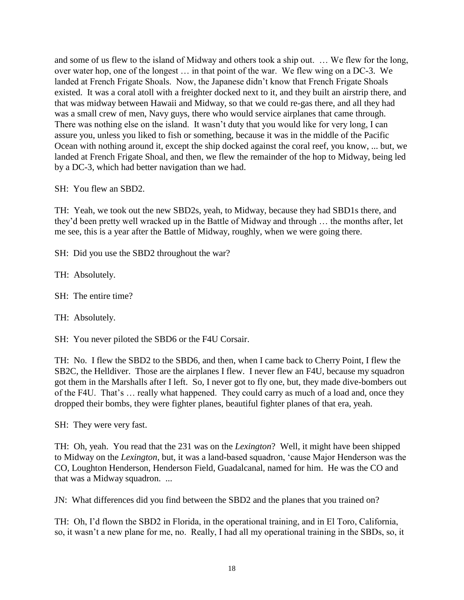and some of us flew to the island of Midway and others took a ship out. … We flew for the long, over water hop, one of the longest … in that point of the war. We flew wing on a DC-3. We landed at French Frigate Shoals. Now, the Japanese didn"t know that French Frigate Shoals existed. It was a coral atoll with a freighter docked next to it, and they built an airstrip there, and that was midway between Hawaii and Midway, so that we could re-gas there, and all they had was a small crew of men, Navy guys, there who would service airplanes that came through. There was nothing else on the island. It wasn't duty that you would like for very long, I can assure you, unless you liked to fish or something, because it was in the middle of the Pacific Ocean with nothing around it, except the ship docked against the coral reef, you know, ... but, we landed at French Frigate Shoal, and then, we flew the remainder of the hop to Midway, being led by a DC-3, which had better navigation than we had.

SH: You flew an SBD2.

TH: Yeah, we took out the new SBD2s, yeah, to Midway, because they had SBD1s there, and they"d been pretty well wracked up in the Battle of Midway and through … the months after, let me see, this is a year after the Battle of Midway, roughly, when we were going there.

SH: Did you use the SBD2 throughout the war?

TH: Absolutely.

SH: The entire time?

TH: Absolutely.

SH: You never piloted the SBD6 or the F4U Corsair.

TH: No. I flew the SBD2 to the SBD6, and then, when I came back to Cherry Point, I flew the SB2C, the Helldiver. Those are the airplanes I flew. I never flew an F4U, because my squadron got them in the Marshalls after I left. So, I never got to fly one, but, they made dive-bombers out of the F4U. That's ... really what happened. They could carry as much of a load and, once they dropped their bombs, they were fighter planes, beautiful fighter planes of that era, yeah.

SH: They were very fast.

TH: Oh, yeah. You read that the 231 was on the *Lexington*? Well, it might have been shipped to Midway on the *Lexington*, but, it was a land-based squadron, "cause Major Henderson was the CO, Loughton Henderson, Henderson Field, Guadalcanal, named for him. He was the CO and that was a Midway squadron. ...

JN: What differences did you find between the SBD2 and the planes that you trained on?

TH: Oh, I"d flown the SBD2 in Florida, in the operational training, and in El Toro, California, so, it wasn"t a new plane for me, no. Really, I had all my operational training in the SBDs, so, it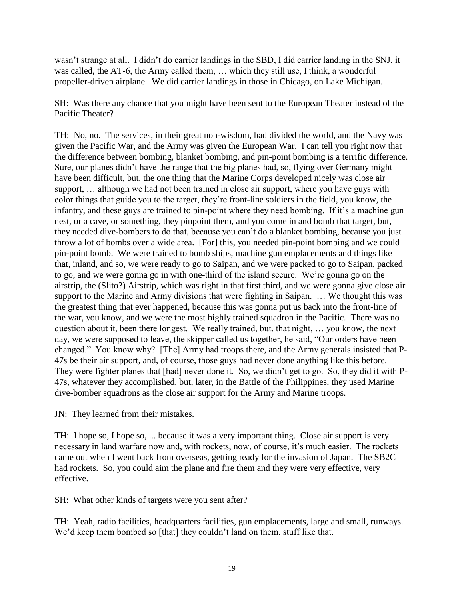wasn"t strange at all. I didn"t do carrier landings in the SBD, I did carrier landing in the SNJ, it was called, the AT-6, the Army called them, … which they still use, I think, a wonderful propeller-driven airplane. We did carrier landings in those in Chicago, on Lake Michigan.

SH: Was there any chance that you might have been sent to the European Theater instead of the Pacific Theater?

TH: No, no. The services, in their great non-wisdom, had divided the world, and the Navy was given the Pacific War, and the Army was given the European War. I can tell you right now that the difference between bombing, blanket bombing, and pin-point bombing is a terrific difference. Sure, our planes didn"t have the range that the big planes had, so, flying over Germany might have been difficult, but, the one thing that the Marine Corps developed nicely was close air support, … although we had not been trained in close air support, where you have guys with color things that guide you to the target, they"re front-line soldiers in the field, you know, the infantry, and these guys are trained to pin-point where they need bombing. If it's a machine gun nest, or a cave, or something, they pinpoint them, and you come in and bomb that target, but, they needed dive-bombers to do that, because you can"t do a blanket bombing, because you just throw a lot of bombs over a wide area. [For] this, you needed pin-point bombing and we could pin-point bomb. We were trained to bomb ships, machine gun emplacements and things like that, inland, and so, we were ready to go to Saipan, and we were packed to go to Saipan, packed to go, and we were gonna go in with one-third of the island secure. We"re gonna go on the airstrip, the (Slito?) Airstrip, which was right in that first third, and we were gonna give close air support to the Marine and Army divisions that were fighting in Saipan. … We thought this was the greatest thing that ever happened, because this was gonna put us back into the front-line of the war, you know, and we were the most highly trained squadron in the Pacific. There was no question about it, been there longest. We really trained, but, that night, … you know, the next day, we were supposed to leave, the skipper called us together, he said, "Our orders have been changed." You know why? [The] Army had troops there, and the Army generals insisted that P-47s be their air support, and, of course, those guys had never done anything like this before. They were fighter planes that [had] never done it. So, we didn"t get to go. So, they did it with P-47s, whatever they accomplished, but, later, in the Battle of the Philippines, they used Marine dive-bomber squadrons as the close air support for the Army and Marine troops.

JN: They learned from their mistakes.

TH: I hope so, I hope so, ... because it was a very important thing. Close air support is very necessary in land warfare now and, with rockets, now, of course, it"s much easier. The rockets came out when I went back from overseas, getting ready for the invasion of Japan. The SB2C had rockets. So, you could aim the plane and fire them and they were very effective, very effective.

SH: What other kinds of targets were you sent after?

TH: Yeah, radio facilities, headquarters facilities, gun emplacements, large and small, runways. We'd keep them bombed so [that] they couldn't land on them, stuff like that.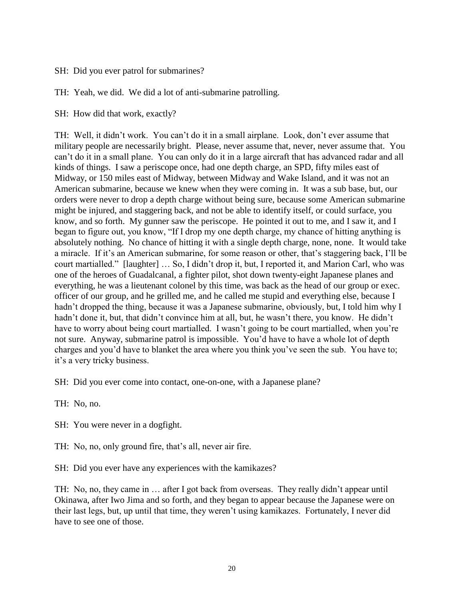SH: Did you ever patrol for submarines?

TH: Yeah, we did. We did a lot of anti-submarine patrolling.

SH: How did that work, exactly?

TH: Well, it didn't work. You can't do it in a small airplane. Look, don't ever assume that military people are necessarily bright. Please, never assume that, never, never assume that. You can"t do it in a small plane. You can only do it in a large aircraft that has advanced radar and all kinds of things. I saw a periscope once, had one depth charge, an SPD, fifty miles east of Midway, or 150 miles east of Midway, between Midway and Wake Island, and it was not an American submarine, because we knew when they were coming in. It was a sub base, but, our orders were never to drop a depth charge without being sure, because some American submarine might be injured, and staggering back, and not be able to identify itself, or could surface, you know, and so forth. My gunner saw the periscope. He pointed it out to me, and I saw it, and I began to figure out, you know, "If I drop my one depth charge, my chance of hitting anything is absolutely nothing. No chance of hitting it with a single depth charge, none, none. It would take a miracle. If it's an American submarine, for some reason or other, that's staggering back, I'll be court martialled." [laughter] … So, I didn"t drop it, but, I reported it, and Marion Carl, who was one of the heroes of Guadalcanal, a fighter pilot, shot down twenty-eight Japanese planes and everything, he was a lieutenant colonel by this time, was back as the head of our group or exec. officer of our group, and he grilled me, and he called me stupid and everything else, because I hadn't dropped the thing, because it was a Japanese submarine, obviously, but, I told him why I hadn't done it, but, that didn't convince him at all, but, he wasn't there, you know. He didn't have to worry about being court martialled. I wasn't going to be court martialled, when you're not sure. Anyway, submarine patrol is impossible. You"d have to have a whole lot of depth charges and you"d have to blanket the area where you think you"ve seen the sub. You have to; it"s a very tricky business.

SH: Did you ever come into contact, one-on-one, with a Japanese plane?

TH: No, no.

SH: You were never in a dogfight.

TH: No, no, only ground fire, that's all, never air fire.

SH: Did you ever have any experiences with the kamikazes?

TH: No, no, they came in … after I got back from overseas. They really didn"t appear until Okinawa, after Iwo Jima and so forth, and they began to appear because the Japanese were on their last legs, but, up until that time, they weren"t using kamikazes. Fortunately, I never did have to see one of those.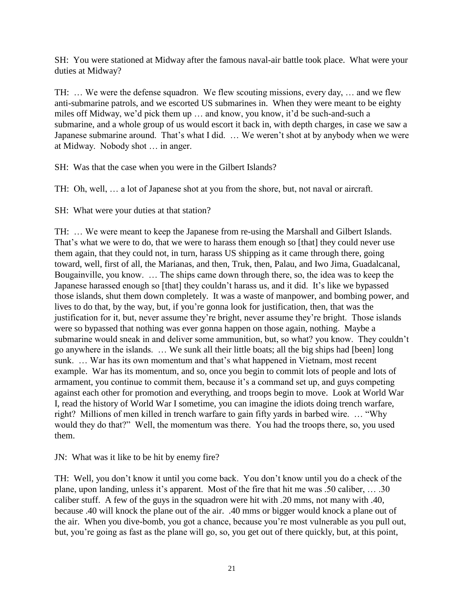SH: You were stationed at Midway after the famous naval-air battle took place. What were your duties at Midway?

TH: … We were the defense squadron. We flew scouting missions, every day, … and we flew anti-submarine patrols, and we escorted US submarines in. When they were meant to be eighty miles off Midway, we'd pick them up ... and know, you know, it'd be such-and-such a submarine, and a whole group of us would escort it back in, with depth charges, in case we saw a Japanese submarine around. That's what I did. ... We weren't shot at by anybody when we were at Midway. Nobody shot … in anger.

SH: Was that the case when you were in the Gilbert Islands?

TH: Oh, well, … a lot of Japanese shot at you from the shore, but, not naval or aircraft.

SH: What were your duties at that station?

TH: … We were meant to keep the Japanese from re-using the Marshall and Gilbert Islands. That's what we were to do, that we were to harass them enough so [that] they could never use them again, that they could not, in turn, harass US shipping as it came through there, going toward, well, first of all, the Marianas, and then, Truk, then, Palau, and Iwo Jima, Guadalcanal, Bougainville, you know. … The ships came down through there, so, the idea was to keep the Japanese harassed enough so [that] they couldn"t harass us, and it did. It"s like we bypassed those islands, shut them down completely. It was a waste of manpower, and bombing power, and lives to do that, by the way, but, if you"re gonna look for justification, then, that was the justification for it, but, never assume they"re bright, never assume they"re bright. Those islands were so bypassed that nothing was ever gonna happen on those again, nothing. Maybe a submarine would sneak in and deliver some ammunition, but, so what? you know. They couldn"t go anywhere in the islands. … We sunk all their little boats; all the big ships had [been] long sunk. ... War has its own momentum and that's what happened in Vietnam, most recent example. War has its momentum, and so, once you begin to commit lots of people and lots of armament, you continue to commit them, because it's a command set up, and guys competing against each other for promotion and everything, and troops begin to move. Look at World War I, read the history of World War I sometime, you can imagine the idiots doing trench warfare, right? Millions of men killed in trench warfare to gain fifty yards in barbed wire. … "Why would they do that?" Well, the momentum was there. You had the troops there, so, you used them.

JN: What was it like to be hit by enemy fire?

TH: Well, you don"t know it until you come back. You don"t know until you do a check of the plane, upon landing, unless it's apparent. Most of the fire that hit me was .50 caliber, ... .30 caliber stuff. A few of the guys in the squadron were hit with .20 mms, not many with .40, because .40 will knock the plane out of the air. .40 mms or bigger would knock a plane out of the air. When you dive-bomb, you got a chance, because you"re most vulnerable as you pull out, but, you"re going as fast as the plane will go, so, you get out of there quickly, but, at this point,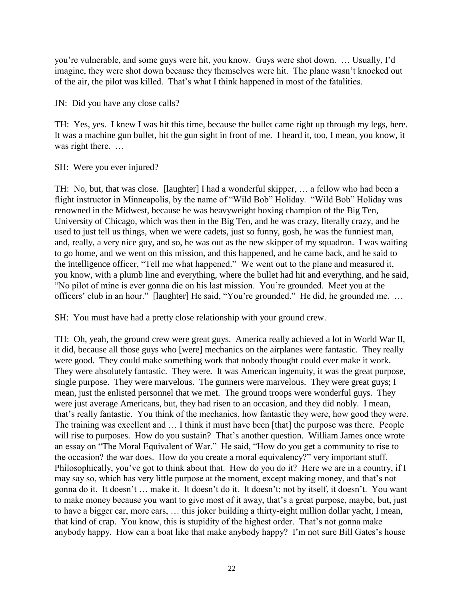you"re vulnerable, and some guys were hit, you know. Guys were shot down. … Usually, I"d imagine, they were shot down because they themselves were hit. The plane wasn"t knocked out of the air, the pilot was killed. That"s what I think happened in most of the fatalities.

JN: Did you have any close calls?

TH: Yes, yes. I knew I was hit this time, because the bullet came right up through my legs, here. It was a machine gun bullet, hit the gun sight in front of me. I heard it, too, I mean, you know, it was right there. ...

SH: Were you ever injured?

TH: No, but, that was close. [laughter] I had a wonderful skipper, … a fellow who had been a flight instructor in Minneapolis, by the name of "Wild Bob" Holiday. "Wild Bob" Holiday was renowned in the Midwest, because he was heavyweight boxing champion of the Big Ten, University of Chicago, which was then in the Big Ten, and he was crazy, literally crazy, and he used to just tell us things, when we were cadets, just so funny, gosh, he was the funniest man, and, really, a very nice guy, and so, he was out as the new skipper of my squadron. I was waiting to go home, and we went on this mission, and this happened, and he came back, and he said to the intelligence officer, "Tell me what happened." We went out to the plane and measured it, you know, with a plumb line and everything, where the bullet had hit and everything, and he said, "No pilot of mine is ever gonna die on his last mission. You"re grounded. Meet you at the officers' club in an hour." [laughter] He said, "You're grounded." He did, he grounded me. ...

SH: You must have had a pretty close relationship with your ground crew.

TH: Oh, yeah, the ground crew were great guys. America really achieved a lot in World War II, it did, because all those guys who [were] mechanics on the airplanes were fantastic. They really were good. They could make something work that nobody thought could ever make it work. They were absolutely fantastic. They were. It was American ingenuity, it was the great purpose, single purpose. They were marvelous. The gunners were marvelous. They were great guys; I mean, just the enlisted personnel that we met. The ground troops were wonderful guys. They were just average Americans, but, they had risen to an occasion, and they did nobly. I mean, that"s really fantastic. You think of the mechanics, how fantastic they were, how good they were. The training was excellent and … I think it must have been [that] the purpose was there. People will rise to purposes. How do you sustain? That's another question. William James once wrote an essay on "The Moral Equivalent of War." He said, "How do you get a community to rise to the occasion? the war does. How do you create a moral equivalency?" very important stuff. Philosophically, you"ve got to think about that. How do you do it? Here we are in a country, if I may say so, which has very little purpose at the moment, except making money, and that"s not gonna do it. It doesn"t … make it. It doesn"t do it. It doesn"t; not by itself, it doesn"t. You want to make money because you want to give most of it away, that's a great purpose, maybe, but, just to have a bigger car, more cars, … this joker building a thirty-eight million dollar yacht, I mean, that kind of crap. You know, this is stupidity of the highest order. That"s not gonna make anybody happy. How can a boat like that make anybody happy? I"m not sure Bill Gates"s house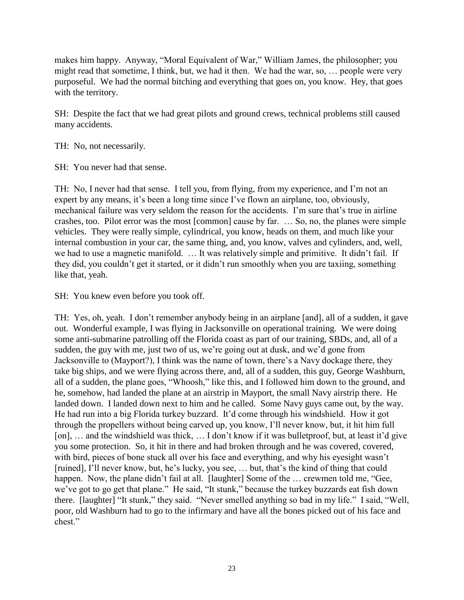makes him happy. Anyway, "Moral Equivalent of War," William James, the philosopher; you might read that sometime, I think, but, we had it then. We had the war, so, … people were very purposeful. We had the normal bitching and everything that goes on, you know. Hey, that goes with the territory.

SH: Despite the fact that we had great pilots and ground crews, technical problems still caused many accidents.

TH: No, not necessarily.

SH: You never had that sense.

TH: No, I never had that sense. I tell you, from flying, from my experience, and I"m not an expert by any means, it's been a long time since I've flown an airplane, too, obviously, mechanical failure was very seldom the reason for the accidents. I"m sure that"s true in airline crashes, too. Pilot error was the most [common] cause by far. … So, no, the planes were simple vehicles. They were really simple, cylindrical, you know, heads on them, and much like your internal combustion in your car, the same thing, and, you know, valves and cylinders, and, well, we had to use a magnetic manifold. … It was relatively simple and primitive. It didn"t fail. If they did, you couldn"t get it started, or it didn"t run smoothly when you are taxiing, something like that, yeah.

SH: You knew even before you took off.

TH: Yes, oh, yeah. I don"t remember anybody being in an airplane [and], all of a sudden, it gave out. Wonderful example, I was flying in Jacksonville on operational training. We were doing some anti-submarine patrolling off the Florida coast as part of our training, SBDs, and, all of a sudden, the guy with me, just two of us, we're going out at dusk, and we'd gone from Jacksonville to (Mayport?), I think was the name of town, there's a Navy dockage there, they take big ships, and we were flying across there, and, all of a sudden, this guy, George Washburn, all of a sudden, the plane goes, "Whoosh," like this, and I followed him down to the ground, and he, somehow, had landed the plane at an airstrip in Mayport, the small Navy airstrip there. He landed down. I landed down next to him and he called. Some Navy guys came out, by the way. He had run into a big Florida turkey buzzard. It'd come through his windshield. How it got through the propellers without being carved up, you know, I"ll never know, but, it hit him full [on], ... and the windshield was thick, ... I don't know if it was bulletproof, but, at least it'd give you some protection. So, it hit in there and had broken through and he was covered, covered, with bird, pieces of bone stuck all over his face and everything, and why his eyesight wasn't [ruined], I'll never know, but, he's lucky, you see, ... but, that's the kind of thing that could happen. Now, the plane didn't fail at all. [laughter] Some of the ... crewmen told me, "Gee, we"ve got to go get that plane." He said, "It stunk," because the turkey buzzards eat fish down there. [laughter] "It stunk," they said. "Never smelled anything so bad in my life." I said, "Well, poor, old Washburn had to go to the infirmary and have all the bones picked out of his face and chest."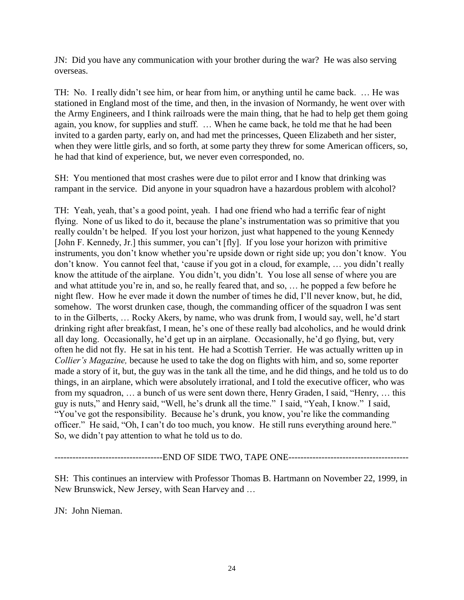JN: Did you have any communication with your brother during the war? He was also serving overseas.

TH: No. I really didn"t see him, or hear from him, or anything until he came back. … He was stationed in England most of the time, and then, in the invasion of Normandy, he went over with the Army Engineers, and I think railroads were the main thing, that he had to help get them going again, you know, for supplies and stuff. … When he came back, he told me that he had been invited to a garden party, early on, and had met the princesses, Queen Elizabeth and her sister, when they were little girls, and so forth, at some party they threw for some American officers, so, he had that kind of experience, but, we never even corresponded, no.

SH: You mentioned that most crashes were due to pilot error and I know that drinking was rampant in the service. Did anyone in your squadron have a hazardous problem with alcohol?

TH: Yeah, yeah, that"s a good point, yeah. I had one friend who had a terrific fear of night flying. None of us liked to do it, because the plane"s instrumentation was so primitive that you really couldn"t be helped. If you lost your horizon, just what happened to the young Kennedy [John F. Kennedy, Jr.] this summer, you can"t [fly]. If you lose your horizon with primitive instruments, you don't know whether you're upside down or right side up; you don't know. You don"t know. You cannot feel that, "cause if you got in a cloud, for example, … you didn"t really know the attitude of the airplane. You didn't, you didn't. You lose all sense of where you are and what attitude you"re in, and so, he really feared that, and so, … he popped a few before he night flew. How he ever made it down the number of times he did, I"ll never know, but, he did, somehow. The worst drunken case, though, the commanding officer of the squadron I was sent to in the Gilberts, … Rocky Akers, by name, who was drunk from, I would say, well, he"d start drinking right after breakfast, I mean, he's one of these really bad alcoholics, and he would drink all day long. Occasionally, he"d get up in an airplane. Occasionally, he"d go flying, but, very often he did not fly. He sat in his tent. He had a Scottish Terrier. He was actually written up in *Collier's Magazine,* because he used to take the dog on flights with him, and so, some reporter made a story of it, but, the guy was in the tank all the time, and he did things, and he told us to do things, in an airplane, which were absolutely irrational, and I told the executive officer, who was from my squadron, … a bunch of us were sent down there, Henry Graden, I said, "Henry, … this guy is nuts," and Henry said, "Well, he"s drunk all the time." I said, "Yeah, I know." I said, "You've got the responsibility. Because he's drunk, you know, you're like the commanding officer." He said, "Oh, I can"t do too much, you know. He still runs everything around here." So, we didn"t pay attention to what he told us to do.

------------------------------------END OF SIDE TWO, TAPE ONE----------------------------------------

SH: This continues an interview with Professor Thomas B. Hartmann on November 22, 1999, in New Brunswick, New Jersey, with Sean Harvey and …

JN: John Nieman.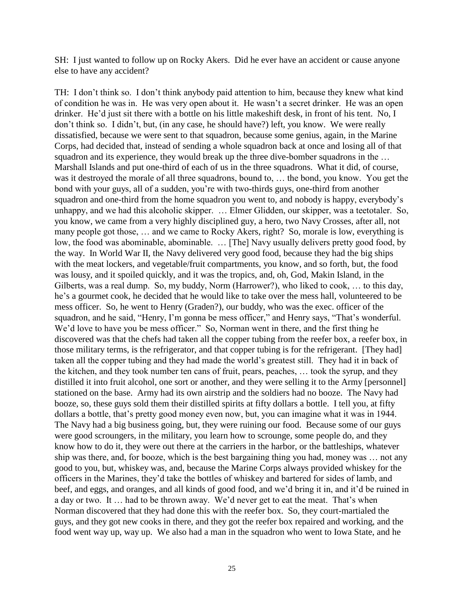SH: I just wanted to follow up on Rocky Akers. Did he ever have an accident or cause anyone else to have any accident?

TH: I don"t think so. I don"t think anybody paid attention to him, because they knew what kind of condition he was in. He was very open about it. He wasn"t a secret drinker. He was an open drinker. He'd just sit there with a bottle on his little makeshift desk, in front of his tent. No, I don"t think so. I didn"t, but, (in any case, he should have?) left, you know. We were really dissatisfied, because we were sent to that squadron, because some genius, again, in the Marine Corps, had decided that, instead of sending a whole squadron back at once and losing all of that squadron and its experience, they would break up the three dive-bomber squadrons in the ... Marshall Islands and put one-third of each of us in the three squadrons. What it did, of course, was it destroyed the morale of all three squadrons, bound to, … the bond, you know. You get the bond with your guys, all of a sudden, you"re with two-thirds guys, one-third from another squadron and one-third from the home squadron you went to, and nobody is happy, everybody"s unhappy, and we had this alcoholic skipper. … Elmer Glidden, our skipper, was a teetotaler. So, you know, we came from a very highly disciplined guy, a hero, two Navy Crosses, after all, not many people got those, … and we came to Rocky Akers, right? So, morale is low, everything is low, the food was abominable, abominable. … [The] Navy usually delivers pretty good food, by the way. In World War II, the Navy delivered very good food, because they had the big ships with the meat lockers, and vegetable/fruit compartments, you know, and so forth, but, the food was lousy, and it spoiled quickly, and it was the tropics, and, oh, God, Makin Island, in the Gilberts, was a real dump. So, my buddy, Norm (Harrower?), who liked to cook, … to this day, he's a gourmet cook, he decided that he would like to take over the mess hall, volunteered to be mess officer. So, he went to Henry (Graden?), our buddy, who was the exec. officer of the squadron, and he said, "Henry, I'm gonna be mess officer," and Henry says, "That's wonderful. We'd love to have you be mess officer." So, Norman went in there, and the first thing he discovered was that the chefs had taken all the copper tubing from the reefer box, a reefer box, in those military terms, is the refrigerator, and that copper tubing is for the refrigerant. [They had] taken all the copper tubing and they had made the world"s greatest still. They had it in back of the kitchen, and they took number ten cans of fruit, pears, peaches, … took the syrup, and they distilled it into fruit alcohol, one sort or another, and they were selling it to the Army [personnel] stationed on the base. Army had its own airstrip and the soldiers had no booze. The Navy had booze, so, these guys sold them their distilled spirits at fifty dollars a bottle. I tell you, at fifty dollars a bottle, that's pretty good money even now, but, you can imagine what it was in 1944. The Navy had a big business going, but, they were ruining our food. Because some of our guys were good scroungers, in the military, you learn how to scrounge, some people do, and they know how to do it, they were out there at the carriers in the harbor, or the battleships, whatever ship was there, and, for booze, which is the best bargaining thing you had, money was … not any good to you, but, whiskey was, and, because the Marine Corps always provided whiskey for the officers in the Marines, they"d take the bottles of whiskey and bartered for sides of lamb, and beef, and eggs, and oranges, and all kinds of good food, and we"d bring it in, and it"d be ruined in a day or two. It … had to be thrown away. We"d never get to eat the meat. That"s when Norman discovered that they had done this with the reefer box. So, they court-martialed the guys, and they got new cooks in there, and they got the reefer box repaired and working, and the food went way up, way up. We also had a man in the squadron who went to Iowa State, and he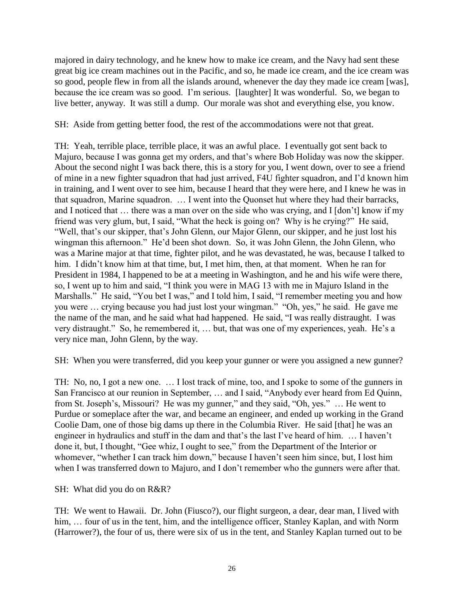majored in dairy technology, and he knew how to make ice cream, and the Navy had sent these great big ice cream machines out in the Pacific, and so, he made ice cream, and the ice cream was so good, people flew in from all the islands around, whenever the day they made ice cream [was], because the ice cream was so good. I"m serious. [laughter] It was wonderful. So, we began to live better, anyway. It was still a dump. Our morale was shot and everything else, you know.

SH: Aside from getting better food, the rest of the accommodations were not that great.

TH: Yeah, terrible place, terrible place, it was an awful place. I eventually got sent back to Majuro, because I was gonna get my orders, and that"s where Bob Holiday was now the skipper. About the second night I was back there, this is a story for you, I went down, over to see a friend of mine in a new fighter squadron that had just arrived, F4U fighter squadron, and I"d known him in training, and I went over to see him, because I heard that they were here, and I knew he was in that squadron, Marine squadron. … I went into the Quonset hut where they had their barracks, and I noticed that … there was a man over on the side who was crying, and I [don"t] know if my friend was very glum, but, I said, "What the heck is going on? Why is he crying?" He said, "Well, that"s our skipper, that"s John Glenn, our Major Glenn, our skipper, and he just lost his wingman this afternoon." He'd been shot down. So, it was John Glenn, the John Glenn, who was a Marine major at that time, fighter pilot, and he was devastated, he was, because I talked to him. I didn't know him at that time, but, I met him, then, at that moment. When he ran for President in 1984, I happened to be at a meeting in Washington, and he and his wife were there, so, I went up to him and said, "I think you were in MAG 13 with me in Majuro Island in the Marshalls." He said, "You bet I was," and I told him, I said, "I remember meeting you and how you were … crying because you had just lost your wingman." "Oh, yes," he said. He gave me the name of the man, and he said what had happened. He said, "I was really distraught. I was very distraught." So, he remembered it, … but, that was one of my experiences, yeah. He"s a very nice man, John Glenn, by the way.

SH: When you were transferred, did you keep your gunner or were you assigned a new gunner?

TH: No, no, I got a new one. … I lost track of mine, too, and I spoke to some of the gunners in San Francisco at our reunion in September, … and I said, "Anybody ever heard from Ed Quinn, from St. Joseph's, Missouri? He was my gunner," and they said, "Oh, yes." ... He went to Purdue or someplace after the war, and became an engineer, and ended up working in the Grand Coolie Dam, one of those big dams up there in the Columbia River. He said [that] he was an engineer in hydraulics and stuff in the dam and that's the last I've heard of him. ... I haven't done it, but, I thought, "Gee whiz, I ought to see," from the Department of the Interior or whomever, "whether I can track him down," because I haven"t seen him since, but, I lost him when I was transferred down to Majuro, and I don't remember who the gunners were after that.

# SH: What did you do on R&R?

TH: We went to Hawaii. Dr. John (Fiusco?), our flight surgeon, a dear, dear man, I lived with him, ... four of us in the tent, him, and the intelligence officer, Stanley Kaplan, and with Norm (Harrower?), the four of us, there were six of us in the tent, and Stanley Kaplan turned out to be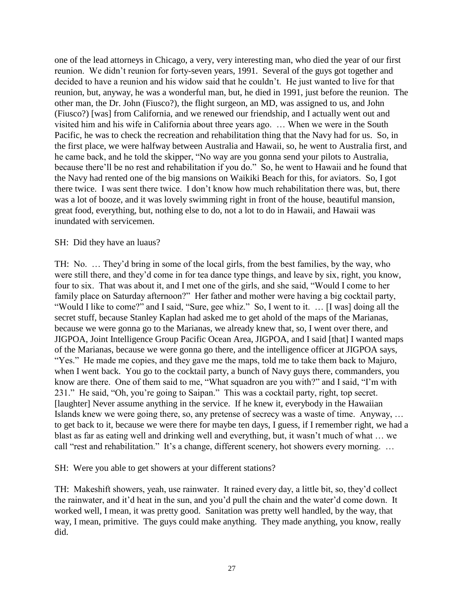one of the lead attorneys in Chicago, a very, very interesting man, who died the year of our first reunion. We didn"t reunion for forty-seven years, 1991. Several of the guys got together and decided to have a reunion and his widow said that he couldn"t. He just wanted to live for that reunion, but, anyway, he was a wonderful man, but, he died in 1991, just before the reunion. The other man, the Dr. John (Fiusco?), the flight surgeon, an MD, was assigned to us, and John (Fiusco?) [was] from California, and we renewed our friendship, and I actually went out and visited him and his wife in California about three years ago. … When we were in the South Pacific, he was to check the recreation and rehabilitation thing that the Navy had for us. So, in the first place, we were halfway between Australia and Hawaii, so, he went to Australia first, and he came back, and he told the skipper, "No way are you gonna send your pilots to Australia, because there"ll be no rest and rehabilitation if you do." So, he went to Hawaii and he found that the Navy had rented one of the big mansions on Waikiki Beach for this, for aviators. So, I got there twice. I was sent there twice. I don"t know how much rehabilitation there was, but, there was a lot of booze, and it was lovely swimming right in front of the house, beautiful mansion, great food, everything, but, nothing else to do, not a lot to do in Hawaii, and Hawaii was inundated with servicemen.

### SH: Did they have an luaus?

TH: No. … They"d bring in some of the local girls, from the best families, by the way, who were still there, and they"d come in for tea dance type things, and leave by six, right, you know, four to six. That was about it, and I met one of the girls, and she said, "Would I come to her family place on Saturday afternoon?" Her father and mother were having a big cocktail party, "Would I like to come?" and I said, "Sure, gee whiz." So, I went to it. … [I was] doing all the secret stuff, because Stanley Kaplan had asked me to get ahold of the maps of the Marianas, because we were gonna go to the Marianas, we already knew that, so, I went over there, and JIGPOA, Joint Intelligence Group Pacific Ocean Area, JIGPOA, and I said [that] I wanted maps of the Marianas, because we were gonna go there, and the intelligence officer at JIGPOA says, "Yes." He made me copies, and they gave me the maps, told me to take them back to Majuro, when I went back. You go to the cocktail party, a bunch of Navy guys there, commanders, you know are there. One of them said to me, "What squadron are you with?" and I said, "I"m with 231." He said, "Oh, you"re going to Saipan." This was a cocktail party, right, top secret. [laughter] Never assume anything in the service. If he knew it, everybody in the Hawaiian Islands knew we were going there, so, any pretense of secrecy was a waste of time. Anyway, … to get back to it, because we were there for maybe ten days, I guess, if I remember right, we had a blast as far as eating well and drinking well and everything, but, it wasn"t much of what … we call "rest and rehabilitation." It's a change, different scenery, hot showers every morning. ...

SH: Were you able to get showers at your different stations?

TH: Makeshift showers, yeah, use rainwater. It rained every day, a little bit, so, they"d collect the rainwater, and it"d heat in the sun, and you"d pull the chain and the water"d come down. It worked well, I mean, it was pretty good. Sanitation was pretty well handled, by the way, that way, I mean, primitive. The guys could make anything. They made anything, you know, really did.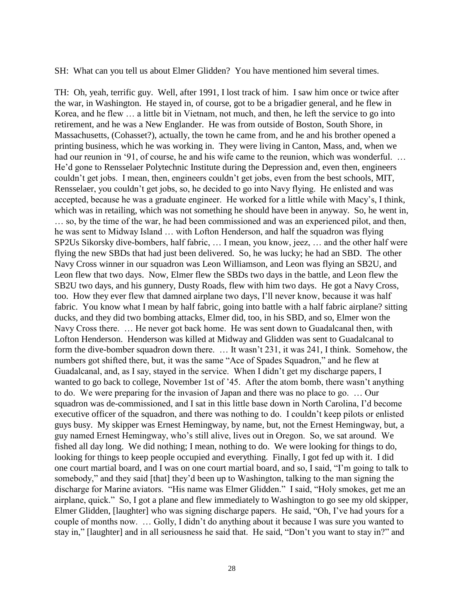SH: What can you tell us about Elmer Glidden? You have mentioned him several times.

TH: Oh, yeah, terrific guy. Well, after 1991, I lost track of him. I saw him once or twice after the war, in Washington. He stayed in, of course, got to be a brigadier general, and he flew in Korea, and he flew … a little bit in Vietnam, not much, and then, he left the service to go into retirement, and he was a New Englander. He was from outside of Boston, South Shore, in Massachusetts, (Cohasset?), actually, the town he came from, and he and his brother opened a printing business, which he was working in. They were living in Canton, Mass, and, when we had our reunion in '91, of course, he and his wife came to the reunion, which was wonderful. ... He"d gone to Rensselaer Polytechnic Institute during the Depression and, even then, engineers couldn"t get jobs. I mean, then, engineers couldn"t get jobs, even from the best schools, MIT, Rensselaer, you couldn"t get jobs, so, he decided to go into Navy flying. He enlisted and was accepted, because he was a graduate engineer. He worked for a little while with Macy"s, I think, which was in retailing, which was not something he should have been in anyway. So, he went in, … so, by the time of the war, he had been commissioned and was an experienced pilot, and then, he was sent to Midway Island … with Lofton Henderson, and half the squadron was flying SP2Us Sikorsky dive-bombers, half fabric, … I mean, you know, jeez, … and the other half were flying the new SBDs that had just been delivered. So, he was lucky; he had an SBD. The other Navy Cross winner in our squadron was Leon Williamson, and Leon was flying an SB2U, and Leon flew that two days. Now, Elmer flew the SBDs two days in the battle, and Leon flew the SB2U two days, and his gunnery, Dusty Roads, flew with him two days. He got a Navy Cross, too. How they ever flew that damned airplane two days, I"ll never know, because it was half fabric. You know what I mean by half fabric, going into battle with a half fabric airplane? sitting ducks, and they did two bombing attacks, Elmer did, too, in his SBD, and so, Elmer won the Navy Cross there. … He never got back home. He was sent down to Guadalcanal then, with Lofton Henderson. Henderson was killed at Midway and Glidden was sent to Guadalcanal to form the dive-bomber squadron down there. ... It wasn't 231, it was 241, I think. Somehow, the numbers got shifted there, but, it was the same "Ace of Spades Squadron," and he flew at Guadalcanal, and, as I say, stayed in the service. When I didn"t get my discharge papers, I wanted to go back to college, November 1st of '45. After the atom bomb, there wasn't anything to do. We were preparing for the invasion of Japan and there was no place to go. … Our squadron was de-commissioned, and I sat in this little base down in North Carolina, I"d become executive officer of the squadron, and there was nothing to do. I couldn"t keep pilots or enlisted guys busy. My skipper was Ernest Hemingway, by name, but, not the Ernest Hemingway, but, a guy named Ernest Hemingway, who"s still alive, lives out in Oregon. So, we sat around. We fished all day long. We did nothing; I mean, nothing to do. We were looking for things to do, looking for things to keep people occupied and everything. Finally, I got fed up with it. I did one court martial board, and I was on one court martial board, and so, I said, "I"m going to talk to somebody," and they said [that] they'd been up to Washington, talking to the man signing the discharge for Marine aviators. "His name was Elmer Glidden." I said, "Holy smokes, get me an airplane, quick." So, I got a plane and flew immediately to Washington to go see my old skipper, Elmer Glidden, [laughter] who was signing discharge papers. He said, "Oh, I"ve had yours for a couple of months now. … Golly, I didn"t do anything about it because I was sure you wanted to stay in," [laughter] and in all seriousness he said that. He said, "Don"t you want to stay in?" and